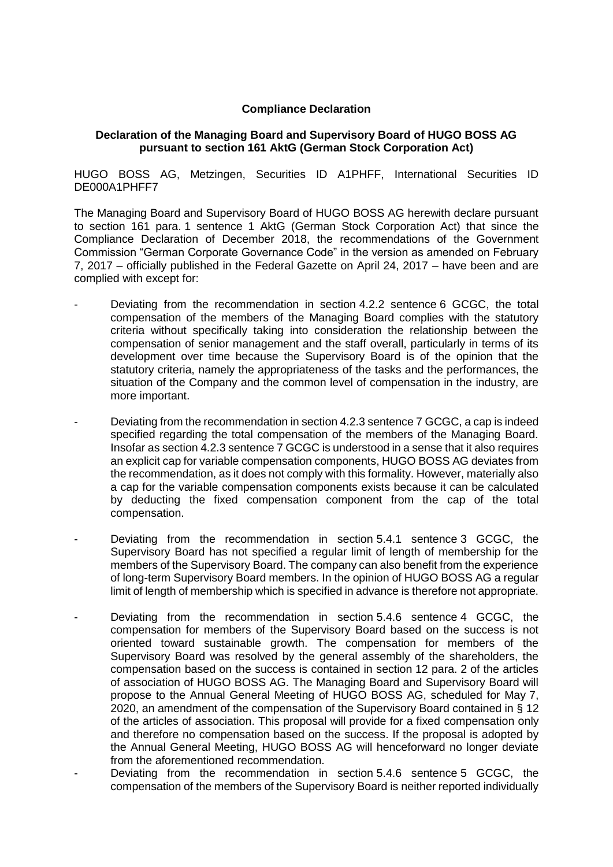## **Compliance Declaration**

## **Declaration of the Managing Board and Supervisory Board of HUGO BOSS AG pursuant to section 161 AktG (German Stock Corporation Act)**

HUGO BOSS AG, Metzingen, Securities ID A1PHFF, International Securities ID DE000A1PHFF7

The Managing Board and Supervisory Board of HUGO BOSS AG herewith declare pursuant to section 161 para. 1 sentence 1 AktG (German Stock Corporation Act) that since the Compliance Declaration of December 2018, the recommendations of the Government Commission "German Corporate Governance Code" in the version as amended on February 7, 2017 – officially published in the Federal Gazette on April 24, 2017 – have been and are complied with except for:

- Deviating from the recommendation in section 4.2.2 sentence 6 GCGC, the total compensation of the members of the Managing Board complies with the statutory criteria without specifically taking into consideration the relationship between the compensation of senior management and the staff overall, particularly in terms of its development over time because the Supervisory Board is of the opinion that the statutory criteria, namely the appropriateness of the tasks and the performances, the situation of the Company and the common level of compensation in the industry, are more important.
- Deviating from the recommendation in section 4.2.3 sentence 7 GCGC, a cap is indeed specified regarding the total compensation of the members of the Managing Board. Insofar as section 4.2.3 sentence 7 GCGC is understood in a sense that it also requires an explicit cap for variable compensation components, HUGO BOSS AG deviates from the recommendation, as it does not comply with this formality. However, materially also a cap for the variable compensation components exists because it can be calculated by deducting the fixed compensation component from the cap of the total compensation.
- Deviating from the recommendation in section 5.4.1 sentence 3 GCGC, the Supervisory Board has not specified a regular limit of length of membership for the members of the Supervisory Board. The company can also benefit from the experience of long-term Supervisory Board members. In the opinion of HUGO BOSS AG a regular limit of length of membership which is specified in advance is therefore not appropriate.
- Deviating from the recommendation in section 5.4.6 sentence 4 GCGC, the compensation for members of the Supervisory Board based on the success is not oriented toward sustainable growth. The compensation for members of the Supervisory Board was resolved by the general assembly of the shareholders, the compensation based on the success is contained in section 12 para. 2 of the articles of association of HUGO BOSS AG. The Managing Board and Supervisory Board will propose to the Annual General Meeting of HUGO BOSS AG, scheduled for May 7, 2020, an amendment of the compensation of the Supervisory Board contained in § 12 of the articles of association. This proposal will provide for a fixed compensation only and therefore no compensation based on the success. If the proposal is adopted by the Annual General Meeting, HUGO BOSS AG will henceforward no longer deviate from the aforementioned recommendation.
- Deviating from the recommendation in section 5.4.6 sentence 5 GCGC, the compensation of the members of the Supervisory Board is neither reported individually